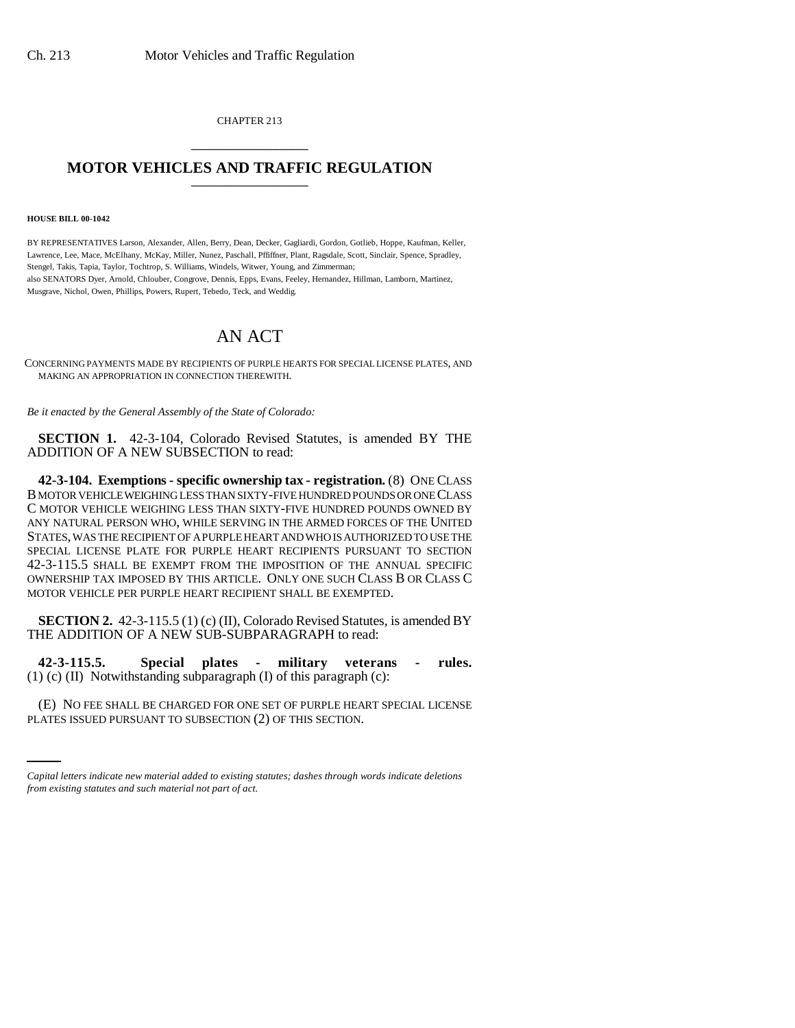CHAPTER 213 \_\_\_\_\_\_\_\_\_\_\_\_\_\_\_

## **MOTOR VEHICLES AND TRAFFIC REGULATION**

## **HOUSE BILL 00-1042**

BY REPRESENTATIVES Larson, Alexander, Allen, Berry, Dean, Decker, Gagliardi, Gordon, Gotlieb, Hoppe, Kaufman, Keller, Lawrence, Lee, Mace, McElhany, McKay, Miller, Nunez, Paschall, Pffiffner, Plant, Ragsdale, Scott, Sinclair, Spence, Spradley, Stengel, Takis, Tapia, Taylor, Tochtrop, S. Williams, Windels, Witwer, Young, and Zimmerman; also SENATORS Dyer, Arnold, Chlouber, Congrove, Dennis, Epps, Evans, Feeley, Hernandez, Hillman, Lamborn, Martinez, Musgrave, Nichol, Owen, Phillips, Powers, Rupert, Tebedo, Teck, and Weddig.

## AN ACT

CONCERNING PAYMENTS MADE BY RECIPIENTS OF PURPLE HEARTS FOR SPECIAL LICENSE PLATES, AND MAKING AN APPROPRIATION IN CONNECTION THEREWITH.

*Be it enacted by the General Assembly of the State of Colorado:*

**SECTION 1.** 42-3-104, Colorado Revised Statutes, is amended BY THE ADDITION OF A NEW SUBSECTION to read:

**42-3-104. Exemptions - specific ownership tax - registration.** (8) ONE CLASS B MOTOR VEHICLE WEIGHING LESS THAN SIXTY-FIVE HUNDRED POUNDS OR ONE CLASS C MOTOR VEHICLE WEIGHING LESS THAN SIXTY-FIVE HUNDRED POUNDS OWNED BY ANY NATURAL PERSON WHO, WHILE SERVING IN THE ARMED FORCES OF THE UNITED STATES, WAS THE RECIPIENT OF A PURPLE HEART AND WHO IS AUTHORIZED TO USE THE SPECIAL LICENSE PLATE FOR PURPLE HEART RECIPIENTS PURSUANT TO SECTION 42-3-115.5 SHALL BE EXEMPT FROM THE IMPOSITION OF THE ANNUAL SPECIFIC OWNERSHIP TAX IMPOSED BY THIS ARTICLE. ONLY ONE SUCH CLASS B OR CLASS C MOTOR VEHICLE PER PURPLE HEART RECIPIENT SHALL BE EXEMPTED.

**SECTION 2.** 42-3-115.5 (1) (c) (II), Colorado Revised Statutes, is amended BY THE ADDITION OF A NEW SUB-SUBPARAGRAPH to read:

**42-3-115.5. Special plates - military veterans - rules.**  $(1)$  (c) (II) Notwithstanding subparagraph (I) of this paragraph (c):

(E) NO FEE SHALL BE CHARGED FOR ONE SET OF PURPLE HEART SPECIAL LICENSE PLATES ISSUED PURSUANT TO SUBSECTION (2) OF THIS SECTION.

*Capital letters indicate new material added to existing statutes; dashes through words indicate deletions from existing statutes and such material not part of act.*